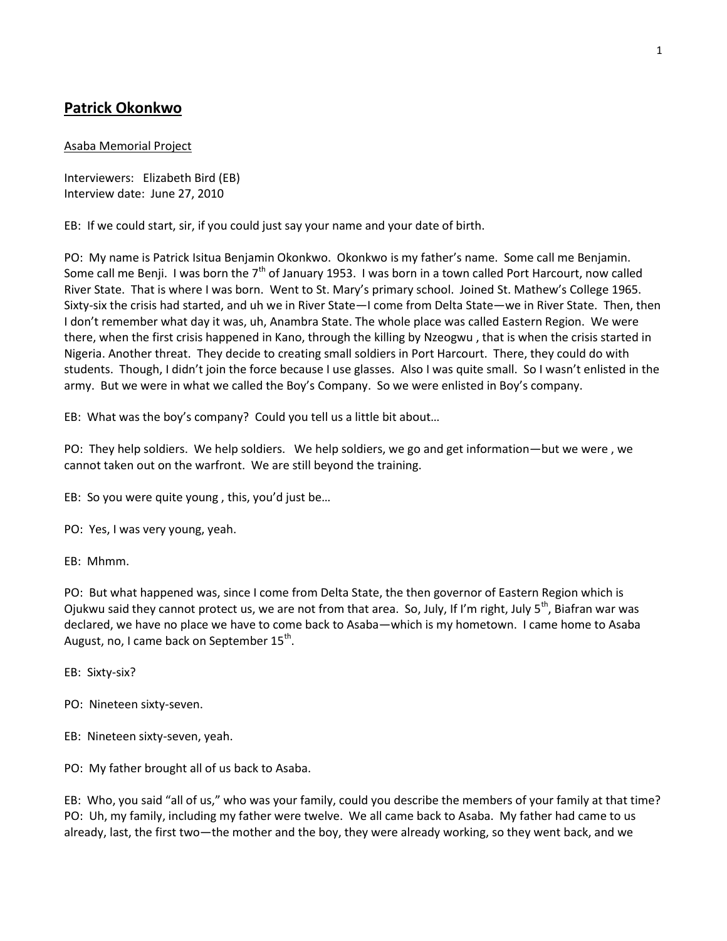# **Patrick Okonkwo**

## Asaba Memorial Project

Interviewers: Elizabeth Bird (EB) Interview date: June 27, 2010

EB: If we could start, sir, if you could just say your name and your date of birth.

PO: My name is Patrick Isitua Benjamin Okonkwo. Okonkwo is my father's name. Some call me Benjamin. Some call me Benji. I was born the  $7<sup>th</sup>$  of January 1953. I was born in a town called Port Harcourt, now called River State. That is where I was born. Went to St. Mary's primary school. Joined St. Mathew's College 1965. Sixty-six the crisis had started, and uh we in River State—I come from Delta State—we in River State. Then, then I don't remember what day it was, uh, Anambra State. The whole place was called Eastern Region. We were there, when the first crisis happened in Kano, through the killing by Nzeogwu , that is when the crisis started in Nigeria. Another threat. They decide to creating small soldiers in Port Harcourt. There, they could do with students. Though, I didn't join the force because I use glasses. Also I was quite small. So I wasn't enlisted in the army. But we were in what we called the Boy's Company. So we were enlisted in Boy's company.

EB: What was the boy's company? Could you tell us a little bit about…

PO: They help soldiers. We help soldiers. We help soldiers, we go and get information—but we were , we cannot taken out on the warfront. We are still beyond the training.

EB: So you were quite young , this, you'd just be…

PO: Yes, I was very young, yeah.

EB: Mhmm.

PO: But what happened was, since I come from Delta State, the then governor of Eastern Region which is Ojukwu said they cannot protect us, we are not from that area. So, July, If I'm right, July  $5^{th}$ , Biafran war was declared, we have no place we have to come back to Asaba—which is my hometown. I came home to Asaba August, no, I came back on September 15<sup>th</sup>.

EB: Sixty-six?

PO: Nineteen sixty-seven.

EB: Nineteen sixty-seven, yeah.

PO: My father brought all of us back to Asaba.

EB: Who, you said "all of us," who was your family, could you describe the members of your family at that time? PO: Uh, my family, including my father were twelve. We all came back to Asaba. My father had came to us already, last, the first two—the mother and the boy, they were already working, so they went back, and we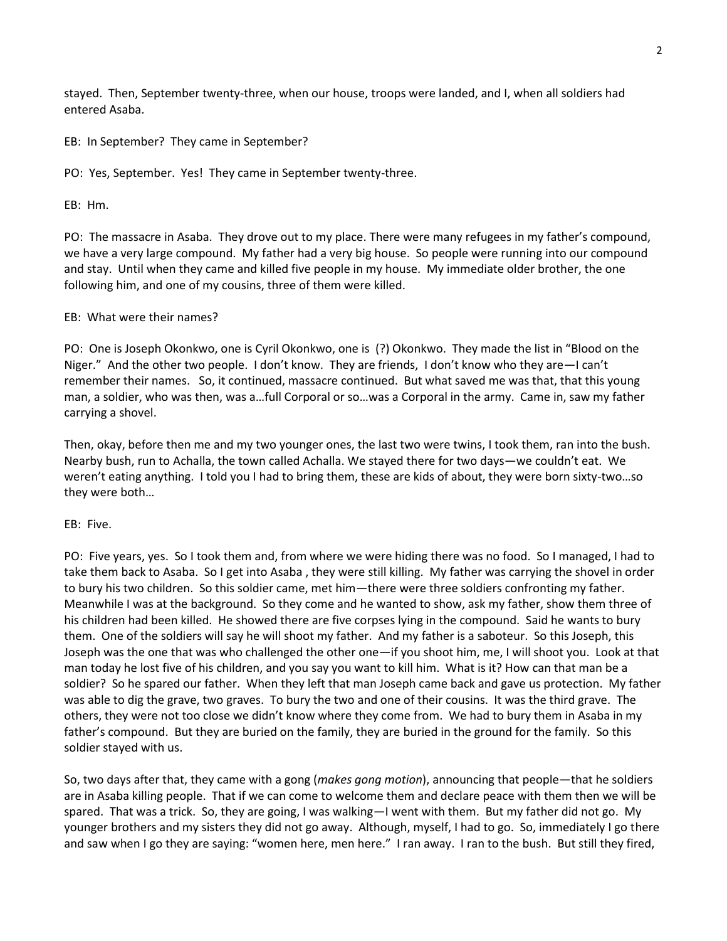stayed. Then, September twenty-three, when our house, troops were landed, and I, when all soldiers had entered Asaba.

EB: In September? They came in September?

PO: Yes, September. Yes! They came in September twenty-three.

EB: Hm.

PO: The massacre in Asaba. They drove out to my place. There were many refugees in my father's compound, we have a very large compound. My father had a very big house. So people were running into our compound and stay. Until when they came and killed five people in my house. My immediate older brother, the one following him, and one of my cousins, three of them were killed.

## EB: What were their names?

PO: One is Joseph Okonkwo, one is Cyril Okonkwo, one is (?) Okonkwo. They made the list in "Blood on the Niger." And the other two people. I don't know. They are friends, I don't know who they are—I can't remember their names. So, it continued, massacre continued. But what saved me was that, that this young man, a soldier, who was then, was a…full Corporal or so…was a Corporal in the army. Came in, saw my father carrying a shovel.

Then, okay, before then me and my two younger ones, the last two were twins, I took them, ran into the bush. Nearby bush, run to Achalla, the town called Achalla. We stayed there for two days—we couldn't eat. We weren't eating anything. I told you I had to bring them, these are kids of about, they were born sixty-two…so they were both…

### EB: Five.

PO: Five years, yes. So I took them and, from where we were hiding there was no food. So I managed, I had to take them back to Asaba. So I get into Asaba , they were still killing. My father was carrying the shovel in order to bury his two children. So this soldier came, met him—there were three soldiers confronting my father. Meanwhile I was at the background. So they come and he wanted to show, ask my father, show them three of his children had been killed. He showed there are five corpses lying in the compound. Said he wants to bury them. One of the soldiers will say he will shoot my father. And my father is a saboteur. So this Joseph, this Joseph was the one that was who challenged the other one—if you shoot him, me, I will shoot you. Look at that man today he lost five of his children, and you say you want to kill him. What is it? How can that man be a soldier? So he spared our father. When they left that man Joseph came back and gave us protection. My father was able to dig the grave, two graves. To bury the two and one of their cousins. It was the third grave. The others, they were not too close we didn't know where they come from. We had to bury them in Asaba in my father's compound. But they are buried on the family, they are buried in the ground for the family. So this soldier stayed with us.

So, two days after that, they came with a gong (*makes gong motion*), announcing that people—that he soldiers are in Asaba killing people. That if we can come to welcome them and declare peace with them then we will be spared. That was a trick. So, they are going, I was walking—I went with them. But my father did not go. My younger brothers and my sisters they did not go away. Although, myself, I had to go. So, immediately I go there and saw when I go they are saying: "women here, men here." I ran away. I ran to the bush. But still they fired,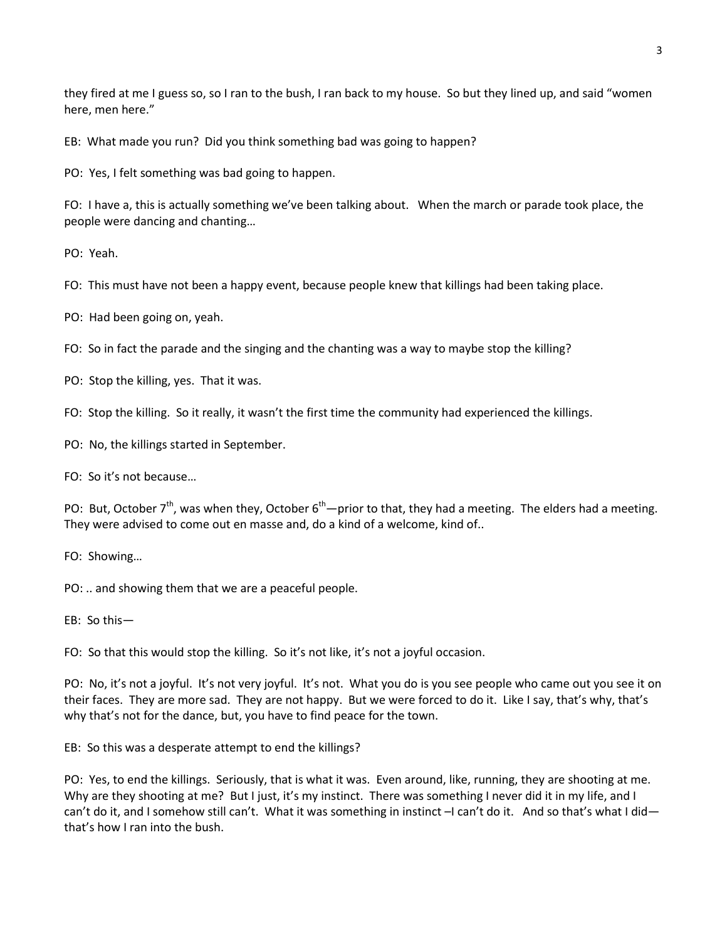they fired at me I guess so, so I ran to the bush, I ran back to my house. So but they lined up, and said "women here, men here."

EB: What made you run? Did you think something bad was going to happen?

PO: Yes, I felt something was bad going to happen.

FO: I have a, this is actually something we've been talking about. When the march or parade took place, the people were dancing and chanting…

PO: Yeah.

FO: This must have not been a happy event, because people knew that killings had been taking place.

PO: Had been going on, yeah.

FO: So in fact the parade and the singing and the chanting was a way to maybe stop the killing?

PO: Stop the killing, yes. That it was.

FO: Stop the killing. So it really, it wasn't the first time the community had experienced the killings.

PO: No, the killings started in September.

FO: So it's not because…

PO: But, October  $7^{th}$ , was when they, October  $6^{th}$ —prior to that, they had a meeting. The elders had a meeting. They were advised to come out en masse and, do a kind of a welcome, kind of..

FO: Showing…

PO: .. and showing them that we are a peaceful people.

EB: So this—

FO: So that this would stop the killing. So it's not like, it's not a joyful occasion.

PO: No, it's not a joyful. It's not very joyful. It's not. What you do is you see people who came out you see it on their faces. They are more sad. They are not happy. But we were forced to do it. Like I say, that's why, that's why that's not for the dance, but, you have to find peace for the town.

EB: So this was a desperate attempt to end the killings?

PO: Yes, to end the killings. Seriously, that is what it was. Even around, like, running, they are shooting at me. Why are they shooting at me? But I just, it's my instinct. There was something I never did it in my life, and I can't do it, and I somehow still can't. What it was something in instinct –I can't do it. And so that's what I did that's how I ran into the bush.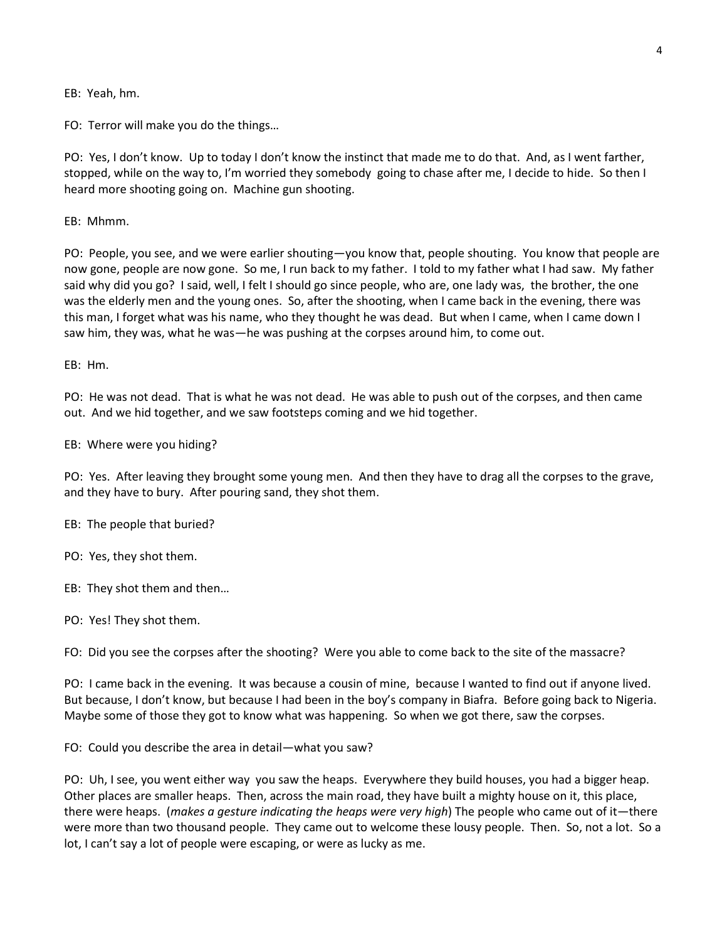EB: Yeah, hm.

FO: Terror will make you do the things…

PO: Yes, I don't know. Up to today I don't know the instinct that made me to do that. And, as I went farther, stopped, while on the way to, I'm worried they somebody going to chase after me, I decide to hide. So then I heard more shooting going on. Machine gun shooting.

EB: Mhmm.

PO: People, you see, and we were earlier shouting—you know that, people shouting. You know that people are now gone, people are now gone. So me, I run back to my father. I told to my father what I had saw. My father said why did you go? I said, well, I felt I should go since people, who are, one lady was, the brother, the one was the elderly men and the young ones. So, after the shooting, when I came back in the evening, there was this man, I forget what was his name, who they thought he was dead. But when I came, when I came down I saw him, they was, what he was—he was pushing at the corpses around him, to come out.

EB: Hm.

PO: He was not dead. That is what he was not dead. He was able to push out of the corpses, and then came out. And we hid together, and we saw footsteps coming and we hid together.

EB: Where were you hiding?

PO: Yes. After leaving they brought some young men. And then they have to drag all the corpses to the grave, and they have to bury. After pouring sand, they shot them.

EB: The people that buried?

PO: Yes, they shot them.

EB: They shot them and then…

PO: Yes! They shot them.

FO: Did you see the corpses after the shooting? Were you able to come back to the site of the massacre?

PO: I came back in the evening. It was because a cousin of mine, because I wanted to find out if anyone lived. But because, I don't know, but because I had been in the boy's company in Biafra. Before going back to Nigeria. Maybe some of those they got to know what was happening. So when we got there, saw the corpses.

FO: Could you describe the area in detail—what you saw?

PO: Uh, I see, you went either way you saw the heaps. Everywhere they build houses, you had a bigger heap. Other places are smaller heaps. Then, across the main road, they have built a mighty house on it, this place, there were heaps. (*makes a gesture indicating the heaps were very high*) The people who came out of it—there were more than two thousand people. They came out to welcome these lousy people. Then. So, not a lot. So a lot, I can't say a lot of people were escaping, or were as lucky as me.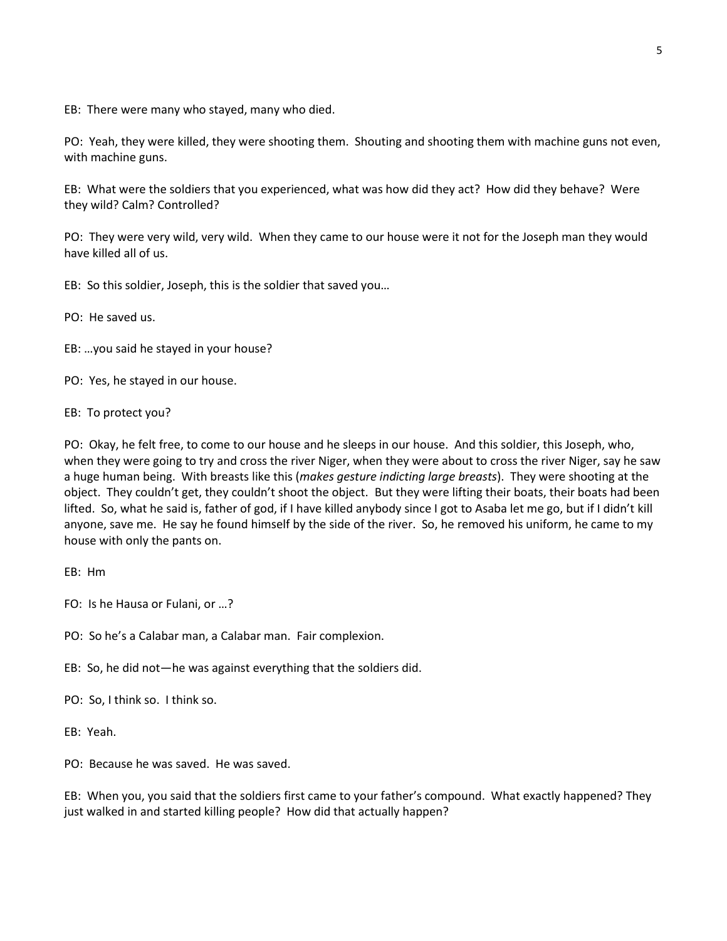EB: There were many who stayed, many who died.

PO: Yeah, they were killed, they were shooting them. Shouting and shooting them with machine guns not even, with machine guns.

EB: What were the soldiers that you experienced, what was how did they act? How did they behave? Were they wild? Calm? Controlled?

PO: They were very wild, very wild. When they came to our house were it not for the Joseph man they would have killed all of us.

EB: So this soldier, Joseph, this is the soldier that saved you…

PO: He saved us.

- EB: …you said he stayed in your house?
- PO: Yes, he stayed in our house.

## EB: To protect you?

PO: Okay, he felt free, to come to our house and he sleeps in our house. And this soldier, this Joseph, who, when they were going to try and cross the river Niger, when they were about to cross the river Niger, say he saw a huge human being. With breasts like this (*makes gesture indicting large breasts*). They were shooting at the object. They couldn't get, they couldn't shoot the object. But they were lifting their boats, their boats had been lifted. So, what he said is, father of god, if I have killed anybody since I got to Asaba let me go, but if I didn't kill anyone, save me. He say he found himself by the side of the river. So, he removed his uniform, he came to my house with only the pants on.

- FO: Is he Hausa or Fulani, or …?
- PO: So he's a Calabar man, a Calabar man. Fair complexion.
- EB: So, he did not—he was against everything that the soldiers did.
- PO: So, I think so. I think so.
- EB: Yeah.

PO: Because he was saved. He was saved.

EB: When you, you said that the soldiers first came to your father's compound. What exactly happened? They just walked in and started killing people? How did that actually happen?

EB: Hm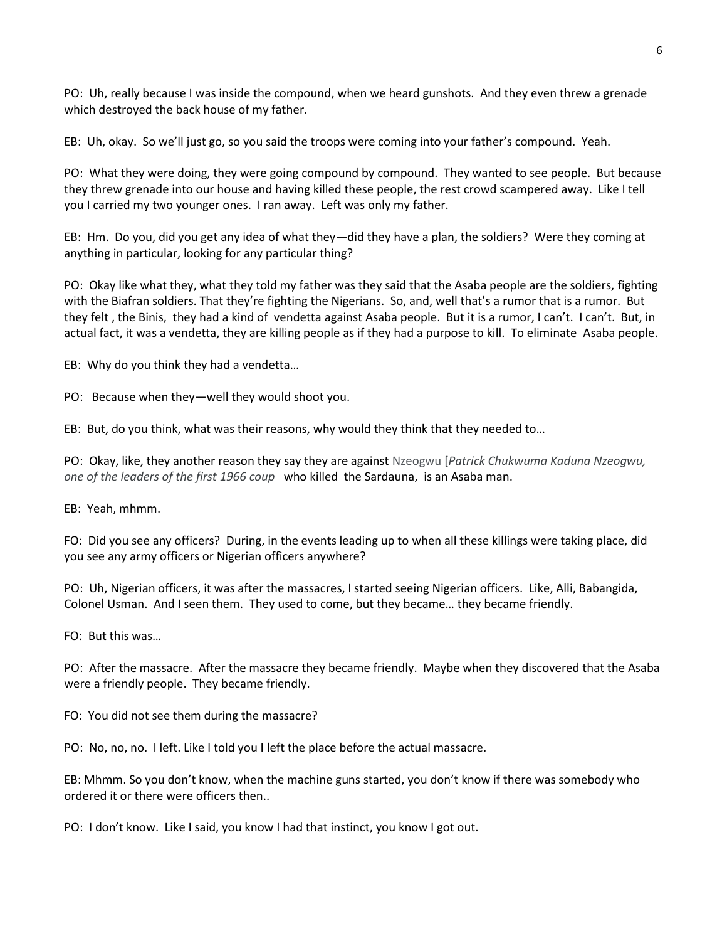PO: Uh, really because I was inside the compound, when we heard gunshots. And they even threw a grenade which destroyed the back house of my father.

EB: Uh, okay. So we'll just go, so you said the troops were coming into your father's compound. Yeah.

PO: What they were doing, they were going compound by compound. They wanted to see people. But because they threw grenade into our house and having killed these people, the rest crowd scampered away. Like I tell you I carried my two younger ones. I ran away. Left was only my father.

EB: Hm. Do you, did you get any idea of what they—did they have a plan, the soldiers? Were they coming at anything in particular, looking for any particular thing?

PO: Okay like what they, what they told my father was they said that the Asaba people are the soldiers, fighting with the Biafran soldiers. That they're fighting the Nigerians. So, and, well that's a rumor that is a rumor. But they felt , the Binis, they had a kind of vendetta against Asaba people. But it is a rumor, I can't. I can't. But, in actual fact, it was a vendetta, they are killing people as if they had a purpose to kill. To eliminate Asaba people.

EB: Why do you think they had a vendetta…

PO: Because when they—well they would shoot you.

EB: But, do you think, what was their reasons, why would they think that they needed to…

PO: Okay, like, they another reason they say they are against Nzeogwu [*Patrick Chukwuma Kaduna Nzeogwu, one of the leaders of the first 1966 coup* who killed the Sardauna, is an Asaba man.

EB: Yeah, mhmm.

FO: Did you see any officers? During, in the events leading up to when all these killings were taking place, did you see any army officers or Nigerian officers anywhere?

PO: Uh, Nigerian officers, it was after the massacres, I started seeing Nigerian officers. Like, Alli, Babangida, Colonel Usman. And I seen them. They used to come, but they became… they became friendly.

FO: But this was…

PO: After the massacre. After the massacre they became friendly. Maybe when they discovered that the Asaba were a friendly people. They became friendly.

FO: You did not see them during the massacre?

PO: No, no, no. I left. Like I told you I left the place before the actual massacre.

EB: Mhmm. So you don't know, when the machine guns started, you don't know if there was somebody who ordered it or there were officers then..

PO: I don't know. Like I said, you know I had that instinct, you know I got out.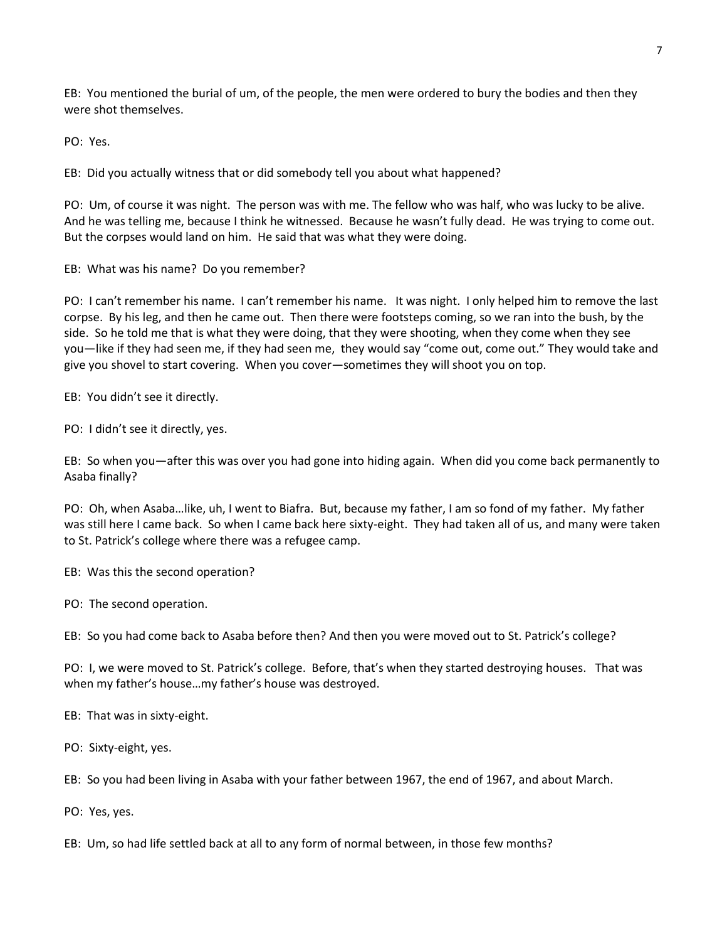EB: You mentioned the burial of um, of the people, the men were ordered to bury the bodies and then they were shot themselves.

PO: Yes.

EB: Did you actually witness that or did somebody tell you about what happened?

PO: Um, of course it was night. The person was with me. The fellow who was half, who was lucky to be alive. And he was telling me, because I think he witnessed. Because he wasn't fully dead. He was trying to come out. But the corpses would land on him. He said that was what they were doing.

EB: What was his name? Do you remember?

PO: I can't remember his name. I can't remember his name. It was night. I only helped him to remove the last corpse. By his leg, and then he came out. Then there were footsteps coming, so we ran into the bush, by the side. So he told me that is what they were doing, that they were shooting, when they come when they see you—like if they had seen me, if they had seen me, they would say "come out, come out." They would take and give you shovel to start covering. When you cover—sometimes they will shoot you on top.

EB: You didn't see it directly.

PO: I didn't see it directly, yes.

EB: So when you—after this was over you had gone into hiding again. When did you come back permanently to Asaba finally?

PO: Oh, when Asaba…like, uh, I went to Biafra. But, because my father, I am so fond of my father. My father was still here I came back. So when I came back here sixty-eight. They had taken all of us, and many were taken to St. Patrick's college where there was a refugee camp.

EB: Was this the second operation?

PO: The second operation.

EB: So you had come back to Asaba before then? And then you were moved out to St. Patrick's college?

PO: I, we were moved to St. Patrick's college. Before, that's when they started destroying houses. That was when my father's house…my father's house was destroyed.

EB: That was in sixty-eight.

PO: Sixty-eight, yes.

EB: So you had been living in Asaba with your father between 1967, the end of 1967, and about March.

PO: Yes, yes.

EB: Um, so had life settled back at all to any form of normal between, in those few months?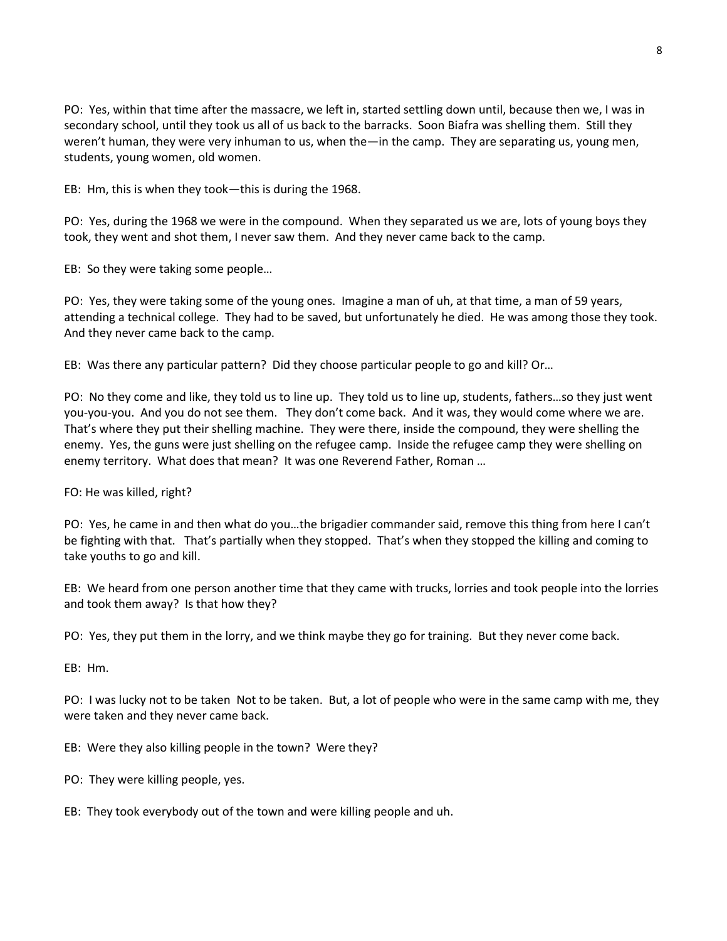PO: Yes, within that time after the massacre, we left in, started settling down until, because then we, I was in secondary school, until they took us all of us back to the barracks. Soon Biafra was shelling them. Still they weren't human, they were very inhuman to us, when the—in the camp. They are separating us, young men, students, young women, old women.

EB: Hm, this is when they took—this is during the 1968.

PO: Yes, during the 1968 we were in the compound. When they separated us we are, lots of young boys they took, they went and shot them, I never saw them. And they never came back to the camp.

EB: So they were taking some people…

PO: Yes, they were taking some of the young ones. Imagine a man of uh, at that time, a man of 59 years, attending a technical college. They had to be saved, but unfortunately he died. He was among those they took. And they never came back to the camp.

EB: Was there any particular pattern? Did they choose particular people to go and kill? Or…

PO: No they come and like, they told us to line up. They told us to line up, students, fathers…so they just went you-you-you. And you do not see them. They don't come back. And it was, they would come where we are. That's where they put their shelling machine. They were there, inside the compound, they were shelling the enemy. Yes, the guns were just shelling on the refugee camp. Inside the refugee camp they were shelling on enemy territory. What does that mean? It was one Reverend Father, Roman …

FO: He was killed, right?

PO: Yes, he came in and then what do you…the brigadier commander said, remove this thing from here I can't be fighting with that. That's partially when they stopped. That's when they stopped the killing and coming to take youths to go and kill.

EB: We heard from one person another time that they came with trucks, lorries and took people into the lorries and took them away? Is that how they?

PO: Yes, they put them in the lorry, and we think maybe they go for training. But they never come back.

EB: Hm.

PO: I was lucky not to be taken Not to be taken. But, a lot of people who were in the same camp with me, they were taken and they never came back.

EB: Were they also killing people in the town? Were they?

PO: They were killing people, yes.

EB: They took everybody out of the town and were killing people and uh.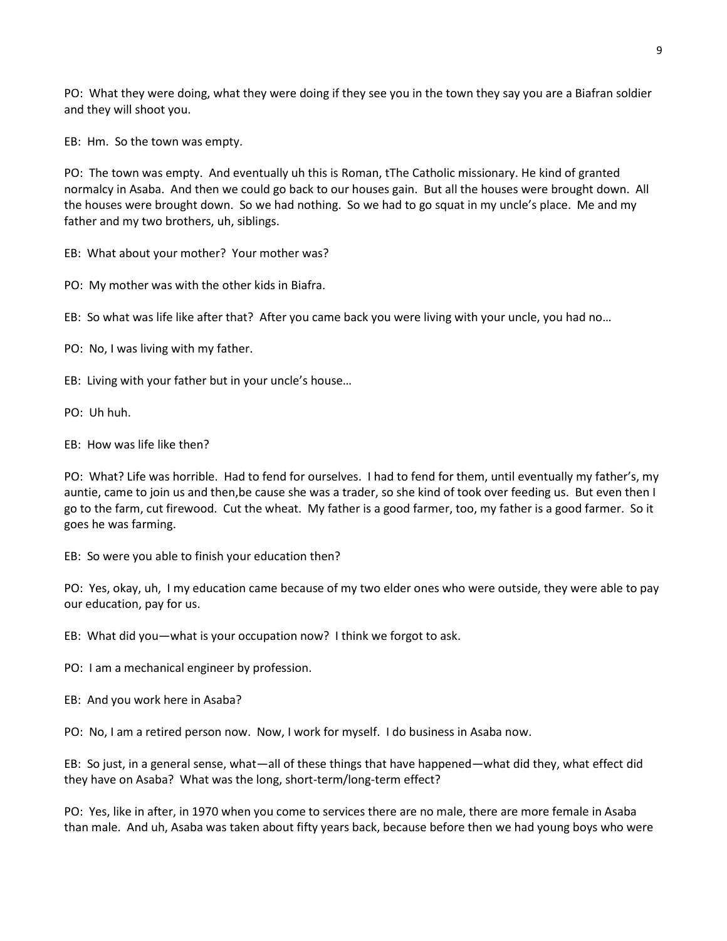PO: What they were doing, what they were doing if they see you in the town they say you are a Biafran soldier and they will shoot you.

EB: Hm. So the town was empty.

PO: The town was empty. And eventually uh this is Roman, tThe Catholic missionary. He kind of granted normalcy in Asaba. And then we could go back to our houses gain. But all the houses were brought down. All the houses were brought down. So we had nothing. So we had to go squat in my uncle's place. Me and my father and my two brothers, uh, siblings.

EB: What about your mother? Your mother was?

PO: My mother was with the other kids in Biafra.

EB: So what was life like after that? After you came back you were living with your uncle, you had no…

PO: No, I was living with my father.

EB: Living with your father but in your uncle's house…

PO: Uh huh.

EB: How was life like then?

PO: What? Life was horrible. Had to fend for ourselves. I had to fend for them, until eventually my father's, my auntie, came to join us and then,be cause she was a trader, so she kind of took over feeding us. But even then I go to the farm, cut firewood. Cut the wheat. My father is a good farmer, too, my father is a good farmer. So it goes he was farming.

EB: So were you able to finish your education then?

PO: Yes, okay, uh, I my education came because of my two elder ones who were outside, they were able to pay our education, pay for us.

EB: What did you—what is your occupation now? I think we forgot to ask.

PO: I am a mechanical engineer by profession.

EB: And you work here in Asaba?

PO: No, I am a retired person now. Now, I work for myself. I do business in Asaba now.

EB: So just, in a general sense, what—all of these things that have happened—what did they, what effect did they have on Asaba? What was the long, short-term/long-term effect?

PO: Yes, like in after, in 1970 when you come to services there are no male, there are more female in Asaba than male. And uh, Asaba was taken about fifty years back, because before then we had young boys who were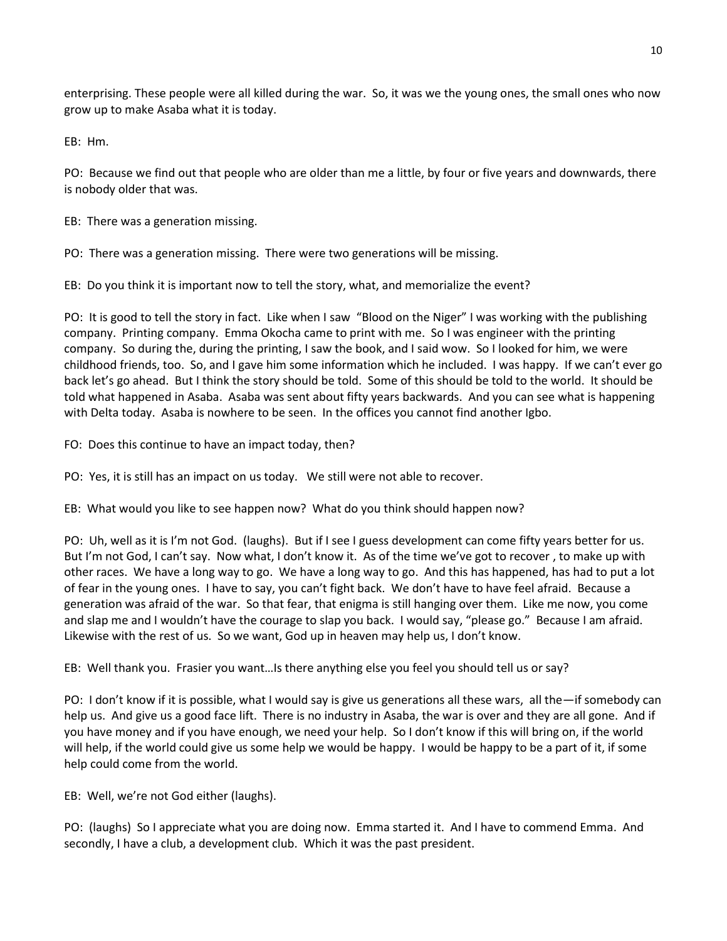enterprising. These people were all killed during the war. So, it was we the young ones, the small ones who now grow up to make Asaba what it is today.

EB: Hm.

PO: Because we find out that people who are older than me a little, by four or five years and downwards, there is nobody older that was.

EB: There was a generation missing.

PO: There was a generation missing. There were two generations will be missing.

EB: Do you think it is important now to tell the story, what, and memorialize the event?

PO: It is good to tell the story in fact. Like when I saw "Blood on the Niger" I was working with the publishing company. Printing company. Emma Okocha came to print with me. So I was engineer with the printing company. So during the, during the printing, I saw the book, and I said wow. So I looked for him, we were childhood friends, too. So, and I gave him some information which he included. I was happy. If we can't ever go back let's go ahead. But I think the story should be told. Some of this should be told to the world. It should be told what happened in Asaba. Asaba was sent about fifty years backwards. And you can see what is happening with Delta today. Asaba is nowhere to be seen. In the offices you cannot find another Igbo.

FO: Does this continue to have an impact today, then?

PO: Yes, it is still has an impact on us today. We still were not able to recover.

EB: What would you like to see happen now? What do you think should happen now?

PO: Uh, well as it is I'm not God. (laughs). But if I see I guess development can come fifty years better for us. But I'm not God, I can't say. Now what, I don't know it. As of the time we've got to recover , to make up with other races. We have a long way to go. We have a long way to go. And this has happened, has had to put a lot of fear in the young ones. I have to say, you can't fight back. We don't have to have feel afraid. Because a generation was afraid of the war. So that fear, that enigma is still hanging over them. Like me now, you come and slap me and I wouldn't have the courage to slap you back. I would say, "please go." Because I am afraid. Likewise with the rest of us. So we want, God up in heaven may help us, I don't know.

EB: Well thank you. Frasier you want…Is there anything else you feel you should tell us or say?

PO: I don't know if it is possible, what I would say is give us generations all these wars, all the—if somebody can help us. And give us a good face lift. There is no industry in Asaba, the war is over and they are all gone. And if you have money and if you have enough, we need your help. So I don't know if this will bring on, if the world will help, if the world could give us some help we would be happy. I would be happy to be a part of it, if some help could come from the world.

EB: Well, we're not God either (laughs).

PO: (laughs) So I appreciate what you are doing now. Emma started it. And I have to commend Emma. And secondly, I have a club, a development club. Which it was the past president.